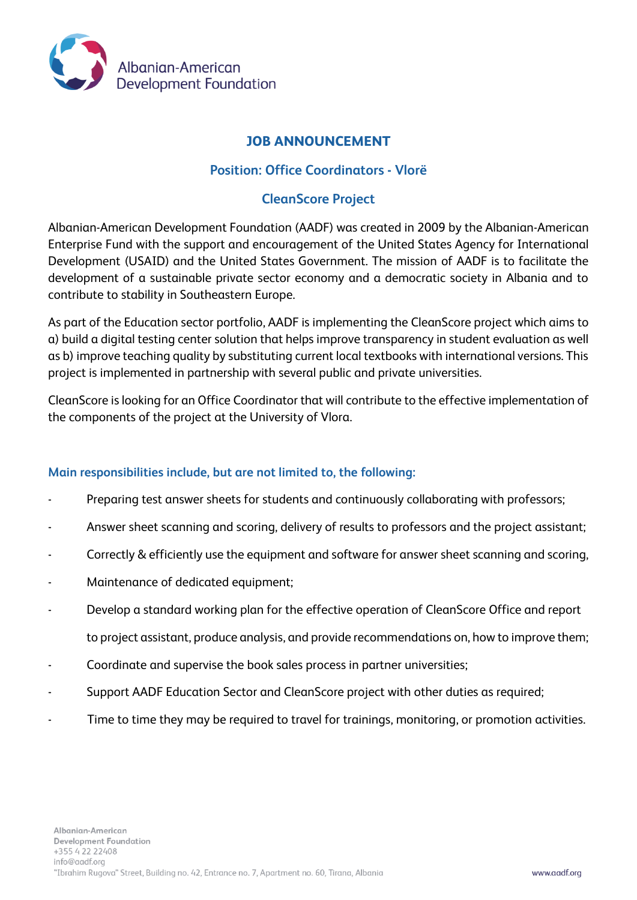

### **JOB ANNOUNCEMENT**

## **Position: Office Coordinators - Vlorë**

# **CleanScore Project**

Albanian-American Development Foundation (AADF) was created in 2009 by the Albanian-American Enterprise Fund with the support and encouragement of the United States Agency for International Development (USAID) and the United States Government. The mission of AADF is to facilitate the development of a sustainable private sector economy and a democratic society in Albania and to contribute to stability in Southeastern Europe.

As part of the Education sector portfolio, AADF is implementing the CleanScore project which aims to a) build a digital testing center solution that helps improve transparency in student evaluation as well as b) improve teaching quality by substituting current local textbooks with international versions. This project is implemented in partnership with several public and private universities.

CleanScore is looking for an Office Coordinator that will contribute to the effective implementation of the components of the project at the University of Vlora.

### **Main responsibilities include, but are not limited to, the following:**

- Preparing test answer sheets for students and continuously collaborating with professors;
- Answer sheet scanning and scoring, delivery of results to professors and the project assistant;
- Correctly & efficiently use the equipment and software for answer sheet scanning and scoring,
- Maintenance of dedicated equipment;
- Develop a standard working plan for the effective operation of CleanScore Office and report to project assistant, produce analysis, and provide recommendations on, how to improve them;
- Coordinate and supervise the book sales process in partner universities;
- Support AADF Education Sector and CleanScore project with other duties as required;
- Time to time they may be required to travel for trainings, monitoring, or promotion activities.